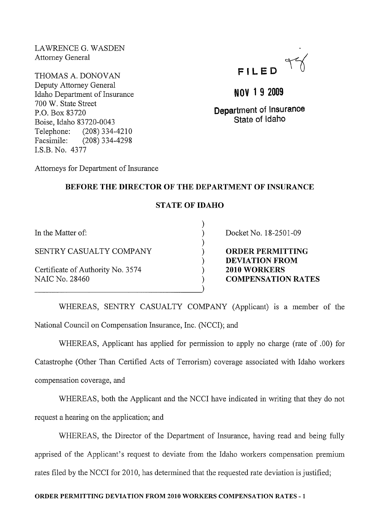LAWRENCE G. WASDEN Attorney General

THOMAS A. DONOVAN Deputy Attorney General Idaho Department of Insurance 700 W. State Street P.O. Box 83720 Boise, Idaho 83720-0043 Telephone: (208) 334-4210 Facsimile: (208) 334-4298 LS.B. No. 4377



**NOV 1 9 2009** 

**Department of Insurance State of Idaho** 

Attorneys for Department of Insurance

## **BEFORE THE DIRECTOR OF THE DEPARTMENT OF INSURANCE**

# **STATE** OF IDAHO

) ) ) ) ) ) )

In the Matter of:

SENTRY CASUALTY COMPANY

-----------------------------------)

Certificate of Authority No. 3574 NAIC No. 28460

Docket No. 18-2501-09

**ORDER PERMITTING DEVIATION FROM 2010 WORKERS COMPENSATION RATES** 

WHEREAS, SENTRY CASUALTY COMPANY (Applicant) is a member of the National Council on Compensation Insurance, Inc. (NCCI); and

WHEREAS, Applicant has applied for permission to apply no charge (rate of .00) for Catastrophe (Other Than Certified Acts of Terrorism) coverage associated with Idaho workers compensation coverage, and

WHEREAS, both the Applicant and the NCCI have indicated in writing that they do not request a hearing on the application; and

WHEREAS, the Director of the Department of Insurance, having read and being fully apprised of the Applicant's request to deviate from the Idaho workers compensation premium rates filed by the NCCI for 2010, has determined that the requested rate deviation is justified;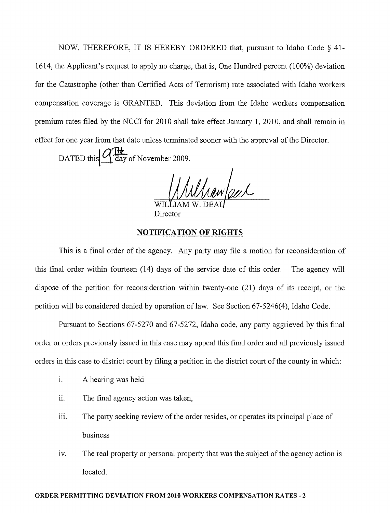NOW, THEREFORE, IT IS HEREBY ORDERED that, pursuant to Idaho Code § 41- 1614, the Applicant's request to apply no charge, that is, One Hundred percent (100%) deviation for the Catastrophe (other than Certified Acts of Terrorism) rate associated with Idaho workers compensation coverage is GRANTED. This deviation from the Idaho workers compensation premium rates filed by the NCCI for 2010 shall take effect January 1,2010, and shall remain in effect for one year from that date unless terminated sooner with the approval of the Director.

DATED this  $\frac{Q\left|\frac{H}{L}\right|}{\text{day of November 2009}}$ .

Winn/eur

Director

#### **NOTIFICATION OF RIGHTS**

This is a final order of the agency. Any party may file a motion for reconsideration of this final order within fourteen  $(14)$  days of the service date of this order. The agency will dispose of the petition for reconsideration within twenty-one (21) days of its receipt, or the petition will be considered denied by operation of law. See Section 67-5246(4), Idaho Code.

Pursuant to Sections 67-5270 and 67-5272, Idaho code, any party aggrieved by this final order or orders previously issued in this case may appeal this final order and all previously issued orders in this case to district court by filing a petition in the district court of the county in which:

- 1. A hearing was held
- ii. The final agency action was taken,
- iii. The party seeking review of the order resides, or operates its principal place of business
- iv. The real property or personal property that was the subject of the agency action is located.

#### **ORDER PERMITTING DEVIATION FROM 2010 WORKERS COMPENSATION RATES** - 2